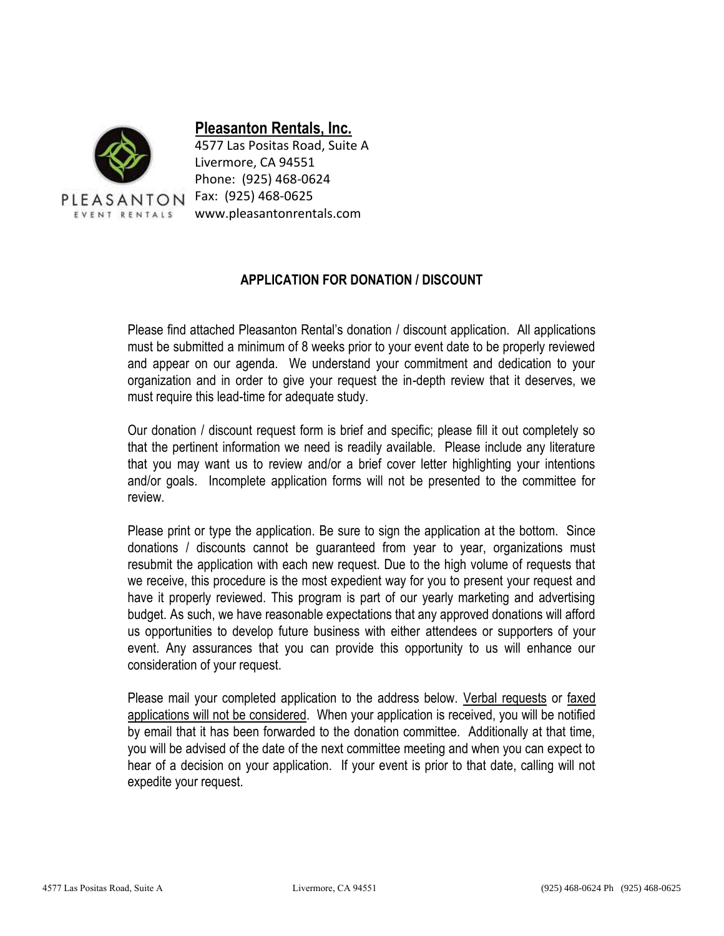

## **Pleasanton Rentals, Inc.**

4577 Las Positas Road, Suite A Livermore, CA 94551 Phone: (925) 468-0624 www.pleasantonrentals.com

## **APPLICATION FOR DONATION / DISCOUNT**

Please find attached Pleasanton Rental's donation / discount application. All applications must be submitted a minimum of 8 weeks prior to your event date to be properly reviewed and appear on our agenda. We understand your commitment and dedication to your organization and in order to give your request the in-depth review that it deserves, we must require this lead-time for adequate study.

Our donation / discount request form is brief and specific; please fill it out completely so that the pertinent information we need is readily available. Please include any literature that you may want us to review and/or a brief cover letter highlighting your intentions and/or goals. Incomplete application forms will not be presented to the committee for review.

Please print or type the application. Be sure to sign the application at the bottom. Since donations / discounts cannot be guaranteed from year to year, organizations must resubmit the application with each new request. Due to the high volume of requests that we receive, this procedure is the most expedient way for you to present your request and have it properly reviewed. This program is part of our yearly marketing and advertising budget. As such, we have reasonable expectations that any approved donations will afford us opportunities to develop future business with either attendees or supporters of your event. Any assurances that you can provide this opportunity to us will enhance our consideration of your request.

Please mail your completed application to the address below. Verbal requests or faxed applications will not be considered. When your application is received, you will be notified by email that it has been forwarded to the donation committee. Additionally at that time, you will be advised of the date of the next committee meeting and when you can expect to hear of a decision on your application. If your event is prior to that date, calling will not expedite your request.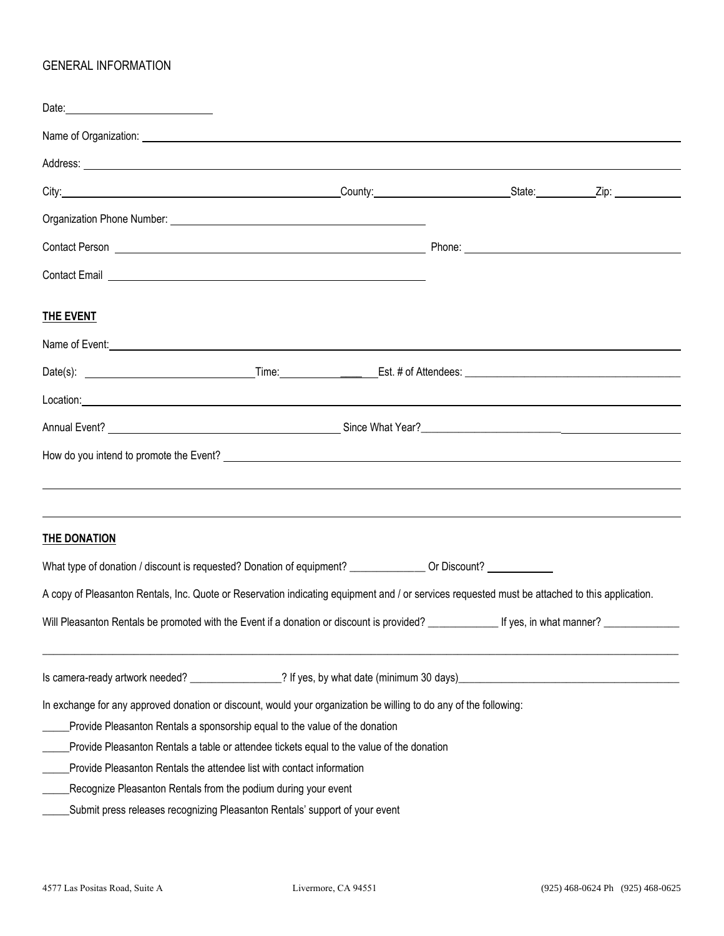## GENERAL INFORMATION

| Date: 2008                                                                                                                                                                                                                                                                                                                                                                                                                                                                                                              |  |  |  |
|-------------------------------------------------------------------------------------------------------------------------------------------------------------------------------------------------------------------------------------------------------------------------------------------------------------------------------------------------------------------------------------------------------------------------------------------------------------------------------------------------------------------------|--|--|--|
|                                                                                                                                                                                                                                                                                                                                                                                                                                                                                                                         |  |  |  |
| Address: <u>Address:</u> Address: Address: Address: Address: Address: Address: Address: Address: Address: Address: Address: Address: Address: Address: Address: Address: Address: Address: Address: Address: Address: Address: Addr                                                                                                                                                                                                                                                                                     |  |  |  |
|                                                                                                                                                                                                                                                                                                                                                                                                                                                                                                                         |  |  |  |
|                                                                                                                                                                                                                                                                                                                                                                                                                                                                                                                         |  |  |  |
|                                                                                                                                                                                                                                                                                                                                                                                                                                                                                                                         |  |  |  |
| Contact Email <b>contact Email contact Email</b>                                                                                                                                                                                                                                                                                                                                                                                                                                                                        |  |  |  |
| <b>THE EVENT</b>                                                                                                                                                                                                                                                                                                                                                                                                                                                                                                        |  |  |  |
| Name of Event: <u>contract and contract and contract and contract and contract and contract and contract and contract and contract and contract and contract and contract and contract and contract and contract and contract an</u>                                                                                                                                                                                                                                                                                    |  |  |  |
|                                                                                                                                                                                                                                                                                                                                                                                                                                                                                                                         |  |  |  |
| Location: with the contract of the contract of the contract of the contract of the contract of the contract of                                                                                                                                                                                                                                                                                                                                                                                                          |  |  |  |
|                                                                                                                                                                                                                                                                                                                                                                                                                                                                                                                         |  |  |  |
| How do you intend to promote the Event? Letter and the contract of the contract of the contract of the contract of the contract of the contract of the contract of the contract of the contract of the contract of the contrac                                                                                                                                                                                                                                                                                          |  |  |  |
| <b>THE DONATION</b>                                                                                                                                                                                                                                                                                                                                                                                                                                                                                                     |  |  |  |
| What type of donation / discount is requested? Donation of equipment? ______________ Or Discount? ___________                                                                                                                                                                                                                                                                                                                                                                                                           |  |  |  |
| A copy of Pleasanton Rentals, Inc. Quote or Reservation indicating equipment and / or services requested must be attached to this application.                                                                                                                                                                                                                                                                                                                                                                          |  |  |  |
|                                                                                                                                                                                                                                                                                                                                                                                                                                                                                                                         |  |  |  |
| Is camera-ready artwork needed? _________________? If yes, by what date (minimum 30 days)_                                                                                                                                                                                                                                                                                                                                                                                                                              |  |  |  |
| In exchange for any approved donation or discount, would your organization be willing to do any of the following:<br>Provide Pleasanton Rentals a sponsorship equal to the value of the donation<br>Provide Pleasanton Rentals a table or attendee tickets equal to the value of the donation<br>Provide Pleasanton Rentals the attendee list with contact information<br>Recognize Pleasanton Rentals from the podium during your event<br>Submit press releases recognizing Pleasanton Rentals' support of your event |  |  |  |
|                                                                                                                                                                                                                                                                                                                                                                                                                                                                                                                         |  |  |  |